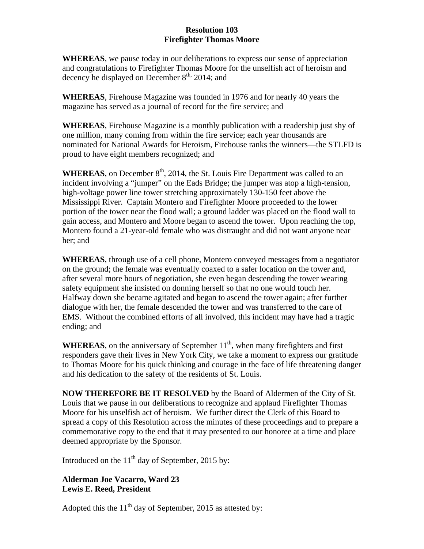## **Resolution 103 Firefighter Thomas Moore**

**WHEREAS**, we pause today in our deliberations to express our sense of appreciation and congratulations to Firefighter Thomas Moore for the unselfish act of heroism and decency he displayed on December  $8<sup>th</sup>$ , 2014; and

**WHEREAS**, Firehouse Magazine was founded in 1976 and for nearly 40 years the magazine has served as a journal of record for the fire service; and

**WHEREAS**, Firehouse Magazine is a monthly publication with a readership just shy of one million, many coming from within the fire service; each year thousands are nominated for National Awards for Heroism, Firehouse ranks the winners—the STLFD is proud to have eight members recognized; and

**WHEREAS**, on December  $8<sup>th</sup>$ , 2014, the St. Louis Fire Department was called to an incident involving a "jumper" on the Eads Bridge; the jumper was atop a high-tension, high-voltage power line tower stretching approximately 130-150 feet above the Mississippi River. Captain Montero and Firefighter Moore proceeded to the lower portion of the tower near the flood wall; a ground ladder was placed on the flood wall to gain access, and Montero and Moore began to ascend the tower. Upon reaching the top, Montero found a 21-year-old female who was distraught and did not want anyone near her; and

**WHEREAS**, through use of a cell phone, Montero conveyed messages from a negotiator on the ground; the female was eventually coaxed to a safer location on the tower and, after several more hours of negotiation, she even began descending the tower wearing safety equipment she insisted on donning herself so that no one would touch her. Halfway down she became agitated and began to ascend the tower again; after further dialogue with her, the female descended the tower and was transferred to the care of EMS. Without the combined efforts of all involved, this incident may have had a tragic ending; and

**WHEREAS**, on the anniversary of September  $11<sup>th</sup>$ , when many firefighters and first responders gave their lives in New York City, we take a moment to express our gratitude to Thomas Moore for his quick thinking and courage in the face of life threatening danger and his dedication to the safety of the residents of St. Louis.

**NOW THEREFORE BE IT RESOLVED** by the Board of Aldermen of the City of St. Louis that we pause in our deliberations to recognize and applaud Firefighter Thomas Moore for his unselfish act of heroism. We further direct the Clerk of this Board to spread a copy of this Resolution across the minutes of these proceedings and to prepare a commemorative copy to the end that it may presented to our honoree at a time and place deemed appropriate by the Sponsor.

Introduced on the  $11<sup>th</sup>$  day of September, 2015 by:

## **Alderman Joe Vacarro, Ward 23 Lewis E. Reed, President**

Adopted this the  $11<sup>th</sup>$  day of September, 2015 as attested by: